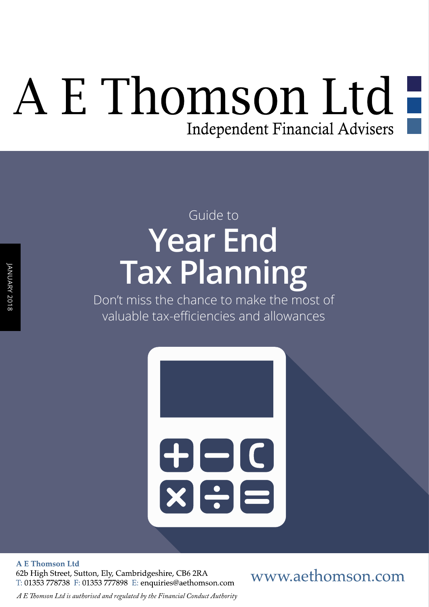# A E Thomson Ltd -Independent Financial Advisers

# **Year End Tax Planning**  Guide to

Don't miss the chance to make the most of valuable tax-efficiencies and allowances



**A E Thomson Ltd** 

62b High Street, Sutton, Ely, Cambridgeshire, CB6 2RA T: 01353 778738 F: 01353 777898 E: enquiries@aethomson.com www.aethomson.com

*A E Tomson Ltd is authorised and regulated by the Financial Conduct Authority*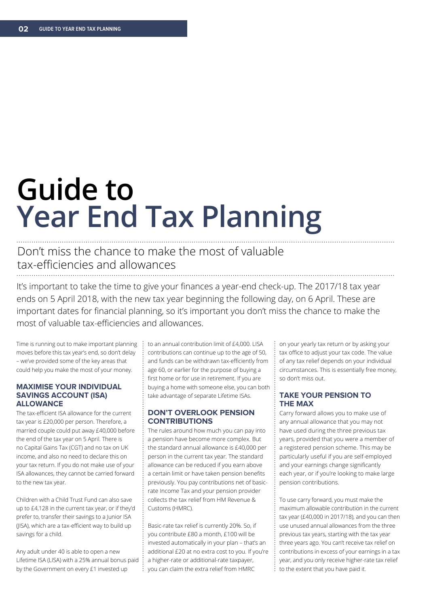# **Guide to Year End Tax Planning**

## Don't miss the chance to make the most of valuable tax-efficiencies and allowances

It's important to take the time to give your finances a year-end check-up. The 2017/18 tax year ends on 5 April 2018, with the new tax year beginning the following day, on 6 April. These are important dates for fnancial planning, so it's important you don't miss the chance to make the most of valuable tax-efficiencies and allowances.

Time is running out to make important planning moves before this tax year's end, so don't delay – we've provided some of the key areas that could help you make the most of your money.

#### **MAXIMISE YOUR INDIVIDUAL SAVINGS ACCOUNT (ISA) ALLOWANCE**

The tax-efficient ISA allowance for the current tax year is £20,000 per person. Therefore, a married couple could put away £40,000 before the end of the tax year on 5 April. There is no Capital Gains Tax (CGT) and no tax on UK income, and also no need to declare this on your tax return. If you do not make use of your ISA allowances, they cannot be carried forward to the new tax year.

Children with a Child Trust Fund can also save up to £4,128 in the current tax year, or if they'd prefer to, transfer their savings to a Junior ISA (IISA), which are a tax-efficient way to build up savings for a child.

Any adult under 40 is able to open a new Lifetime ISA (LISA) with a 25% annual bonus paid by the Government on every £1 invested up

to an annual contribution limit of £4,000. LISA contributions can continue up to the age of 50, and funds can be withdrawn tax-efficiently from age 60, or earlier for the purpose of buying a frst home or for use in retirement. If you are buying a home with someone else, you can both take advantage of separate Lifetime ISAs.

#### **DON'T OVERLOOK PENSION CONTRIBUTIONS**

The rules around how much you can pay into a pension have become more complex. But the standard annual allowance is £40,000 per person in the current tax year. The standard allowance can be reduced if you earn above a certain limit or have taken pension benefts previously. You pay contributions net of basicrate Income Tax and your pension provider collects the tax relief from HM Revenue & Customs (HMRC).

Basic-rate tax relief is currently 20%. So, if you contribute £80 a month, £100 will be invested automatically in your plan – that's an additional £20 at no extra cost to you. If you're a higher-rate or additional-rate taxpayer, you can claim the extra relief from HMRC

on your yearly tax return or by asking your tax office to adjust your tax code. The value of any tax relief depends on your individual circumstances. This is essentially free money, so don't miss out.

#### **TAKE YOUR PENSION TO THE MAX**

Carry forward allows you to make use of any annual allowance that you may not have used during the three previous tax years, provided that you were a member of a registered pension scheme. This may be particularly useful if you are self-employed and your earnings change signifcantly each year, or if you're looking to make large pension contributions.

To use carry forward, you must make the maximum allowable contribution in the current tax year (£40,000 in 2017/18), and you can then use unused annual allowances from the three previous tax years, starting with the tax year three years ago. You can't receive tax relief on contributions in excess of your earnings in a tax year, and you only receive higher-rate tax relief to the extent that you have paid it.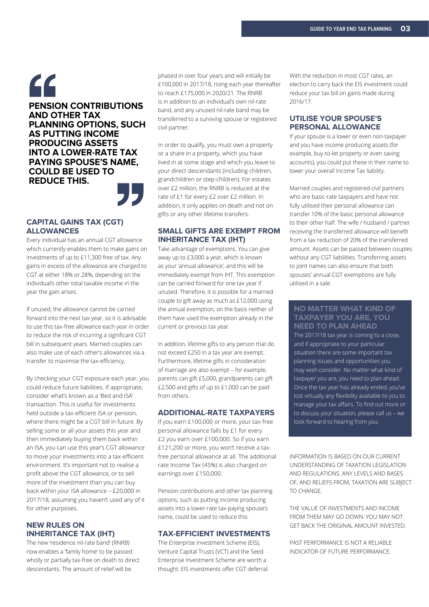### " **PENSION CONTRIBUTIONS AND OTHER TAX PLANNING OPTIONS, SUCH AS PUTTING INCOME PRODUCING ASSETS INTO A LOWER-RATE TAX PAYING SPOUSE'S NAME, COULD BE USED TO REDUCE THIS.**"

#### **CAPITAL GAINS TAX (CGT) ALLOWANCES**

Every individual has an annual CGT allowance which currently enables them to make gains on investments of up to £11,300 free of tax. Any gains in excess of the allowance are charged to CGT at either 18% or 28%, depending on the individual's other total taxable income in the year the gain arises.

If unused, the allowance cannot be carried forward into the next tax year, so it is advisable to use this tax-free allowance each year in order to reduce the risk of incurring a signifcant CGT bill in subsequent years. Married couples can also make use of each other's allowances via a transfer to maximise the tax-efficiency.

By checking your CGT exposure each year, you could reduce future liabilities. If appropriate, consider what's known as a 'Bed and ISA' transaction. This is useful for investments held outside a tax-efficient ISA or pension, where there might be a CGT bill in future. By selling some or all your assets this year and then immediately buying them back within an ISA, you can use this year's CGT allowance to move your investments into a tax-efficient environment. It's important not to realise a proft above the CGT allowance, or to sell more of the investment than you can buy back within your ISA allowance – £20,000 in 2017/18, assuming you haven't used any of it for other purposes.

#### **NEW RULES ON INHERITANCE TAX (IHT)**

The new 'residence nil-rate band' (RNRB) now enables a 'family home' to be passed wholly or partially tax-free on death to direct descendants. The amount of relief will be

phased in over four years and will initially be £100,000 in 2017/18, rising each year thereafter to reach £175,000 in 2020/21. The RNRB is in addition to an individual's own nil-rate band, and any unused nil-rate band may be transferred to a surviving spouse or registered civil partner.

In order to qualify, you must own a property or a share in a property, which you have lived in at some stage and which you leave to your direct descendants (including children, grandchildren or step-children). For estates over £2 million, the RNRB is reduced at the rate of £1 for every £2 over £2 million. In addition, it only applies on death and not on gifts or any other lifetime transfers.

#### **SMALL GIFTS ARE EXEMPT FROM INHERITANCE TAX (IHT)**

Take advantage of exemptions. You can give away up to £3,000 a year, which is known as your 'annual allowance', and this will be immediately exempt from IHT. This exemption can be carried forward for one tax year if unused. Therefore, it is possible for a married couple to gift away as much as £12,000 using the annual exemption, on the basis neither of them have used the exemption already in the current or previous tax year.

In addition, lifetime gifts to any person that do not exceed £250 in a tax year are exempt. Furthermore, lifetime gifts in consideration of marriage are also exempt – for example, parents can gift £5,000, grandparents can gift £2,500 and gifts of up to £1,000 can be paid from others.

#### **ADDITIONAL-RATE TAXPAYERS**

If you earn £100,000 or more, your tax-free personal allowance falls by £1 for every £2 you earn over £100,000. So if you earn £121,200 or more, you won't receive a taxfree personal allowance at all. The additional rate Income Tax (45%) is also charged on earnings over £150,000.

Pension contributions and other tax planning options, such as putting income producing assets into a lower-rate tax-paying spouse's name, could be used to reduce this.

#### **TAX-EFFICIENT INVESTMENTS**

The Enterprise Investment Scheme (EIS), Venture Capital Trusts (VCT) and the Seed Enterprise Investment Scheme are worth a thought. EIS investments offer CGT deferral. With the reduction in most CGT rates, an election to carry back the EIS investment could reduce your tax bill on gains made during 2016/17.

#### **UTILISE YOUR SPOUSE'S PERSONAL ALLOWANCE**

If your spouse is a lower or even non-taxpayer and you have income producing assets (for example, buy-to-let property or even saving accounts), you could put these in their name to lower your overall Income Tax liability.

Married couples and registered civil partners who are basic-rate taxpayers and have not fully utilised their personal allowance can transfer 10% of the basic personal allowance to their other half. The wife / husband / partner receiving the transferred allowance will beneft from a tax reduction of 20% of the transferred amount. Assets can be passed between couples without any CGT liabilities. Transferring assets to joint names can also ensure that both spouses' annual CGT exemptions are fully utilised in a sale.

#### **NO MATTER WHAT KIND OF TAXPAYER YOU ARE, YOU NEED TO PLAN AHEAD**

The 2017/18 tax year is coming to a close, and if appropriate to your particular situation there are some important tax planning issues and opportunities you may wish consider. No matter what kind of taxpayer you are, you need to plan ahead. Once the tax year has already ended, you've lost virtually any flexibility available to you to manage your tax affairs. To find out more or to discuss your situation, please call us – we look forward to hearing from you.

INFORMATION IS BASED ON OUR CURRENT UNDERSTANDING OF TAXATION LEGISLATION AND REGULATIONS. ANY LEVELS AND BASES OF, AND RELIEFS FROM, TAXATION ARE SUBJECT TO CHANGE.

THE VALUE OF INVESTMENTS AND INCOME FROM THEM MAY GO DOWN. YOU MAY NOT GET BACK THE ORIGINAL AMOUNT INVESTED.

PAST PERFORMANCE IS NOT A RELIABLE INDICATOR OF FUTURE PERFORMANCE.